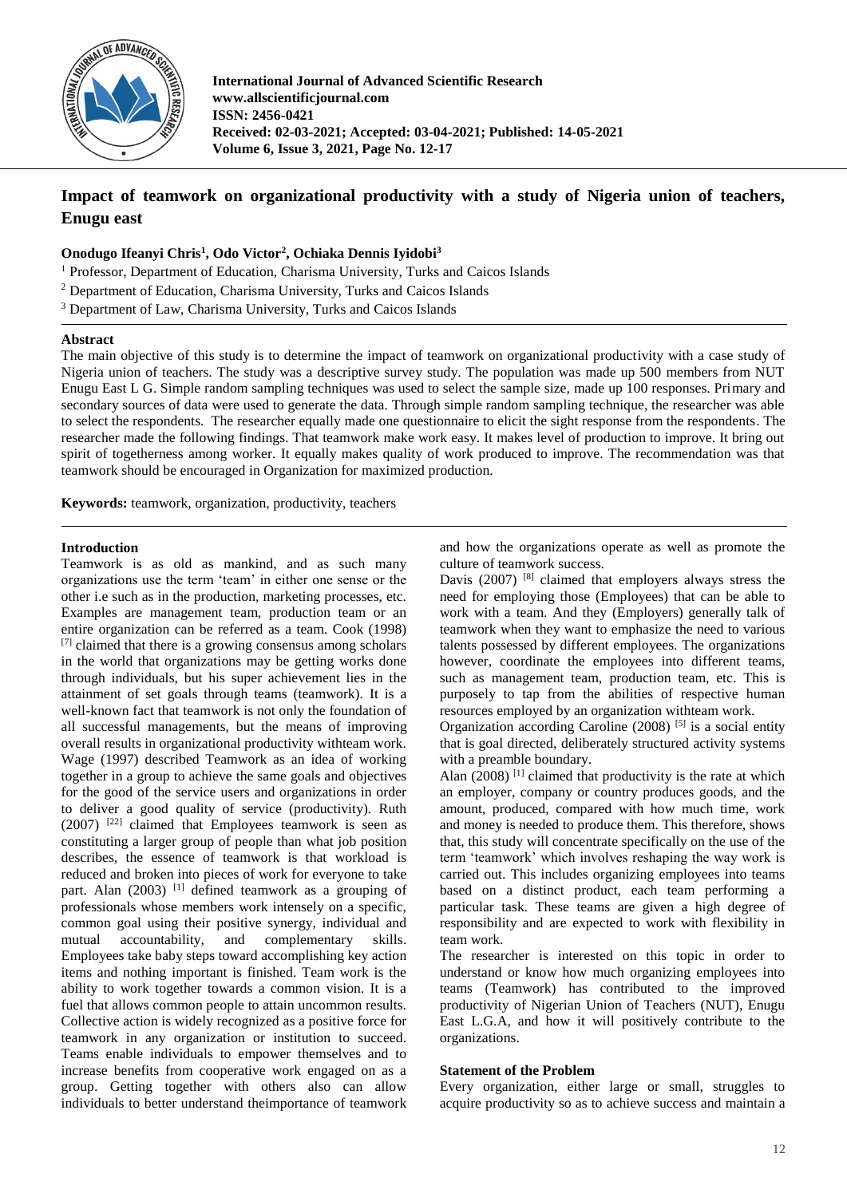

**International Journal of Advanced Scientific Research www.allscientificjournal.com ISSN: 2456-0421 Received: 02-03-2021; Accepted: 03-04-2021; Published: 14-05-2021 Volume 6, Issue 3, 2021, Page No. 12-17**

# **Impact of teamwork on organizational productivity with a study of Nigeria union of teachers, Enugu east**

### **Onodugo Ifeanyi Chris<sup>1</sup> , Odo Victor<sup>2</sup> , Ochiaka Dennis Iyidobi<sup>3</sup>**

- <sup>1</sup> Professor, Department of Education, Charisma University, Turks and Caicos Islands
- <sup>2</sup> Department of Education, Charisma University, Turks and Caicos Islands
- <sup>3</sup> Department of Law, Charisma University, Turks and Caicos Islands

### **Abstract**

The main objective of this study is to determine the impact of teamwork on organizational productivity with a case study of Nigeria union of teachers. The study was a descriptive survey study. The population was made up 500 members from NUT Enugu East L G. Simple random sampling techniques was used to select the sample size, made up 100 responses. Primary and secondary sources of data were used to generate the data. Through simple random sampling technique, the researcher was able to select the respondents. The researcher equally made one questionnaire to elicit the sight response from the respondents. The researcher made the following findings. That teamwork make work easy. It makes level of production to improve. It bring out spirit of togetherness among worker. It equally makes quality of work produced to improve. The recommendation was that teamwork should be encouraged in Organization for maximized production.

**Keywords:** teamwork, organization, productivity, teachers

### **Introduction**

Teamwork is as old as mankind, and as such many organizations use the term 'team' in either one sense or the other i.e such as in the production, marketing processes, etc. Examples are management team, production team or an entire organization can be referred as a team. Cook (1998) [7] claimed that there is a growing consensus among scholars in the world that organizations may be getting works done through individuals, but his super achievement lies in the attainment of set goals through teams (teamwork). It is a well-known fact that teamwork is not only the foundation of all successful managements, but the means of improving overall results in organizational productivity withteam work. Wage (1997) described Teamwork as an idea of working together in a group to achieve the same goals and objectives for the good of the service users and organizations in order to deliver a good quality of service (productivity). Ruth (2007) [22] claimed that Employees teamwork is seen as constituting a larger group of people than what job position describes, the essence of teamwork is that workload is reduced and broken into pieces of work for everyone to take part. Alan  $(2003)$ <sup>[1]</sup> defined teamwork as a grouping of professionals whose members work intensely on a specific, common goal using their positive synergy, individual and mutual accountability, and complementary skills. Employees take baby steps toward accomplishing key action items and nothing important is finished. Team work is the ability to work together towards a common vision. It is a fuel that allows common people to attain uncommon results. Collective action is widely recognized as a positive force for teamwork in any organization or institution to succeed. Teams enable individuals to empower themselves and to increase benefits from cooperative work engaged on as a group. Getting together with others also can allow individuals to better understand theimportance of teamwork

and how the organizations operate as well as promote the culture of teamwork success.

Davis (2007) [8] claimed that employers always stress the need for employing those (Employees) that can be able to work with a team. And they (Employers) generally talk of teamwork when they want to emphasize the need to various talents possessed by different employees. The organizations however, coordinate the employees into different teams, such as management team, production team, etc. This is purposely to tap from the abilities of respective human resources employed by an organization withteam work.

Organization according Caroline  $(2008)$ <sup>[5]</sup> is a social entity that is goal directed, deliberately structured activity systems with a preamble boundary.

Alan  $(2008)$ <sup>[1]</sup> claimed that productivity is the rate at which an employer, company or country produces goods, and the amount, produced, compared with how much time, work and money is needed to produce them. This therefore, shows that, this study will concentrate specifically on the use of the term 'teamwork' which involves reshaping the way work is carried out. This includes organizing employees into teams based on a distinct product, each team performing a particular task. These teams are given a high degree of responsibility and are expected to work with flexibility in team work.

The researcher is interested on this topic in order to understand or know how much organizing employees into teams (Teamwork) has contributed to the improved productivity of Nigerian Union of Teachers (NUT), Enugu East L.G.A, and how it will positively contribute to the organizations.

### **Statement of the Problem**

Every organization, either large or small, struggles to acquire productivity so as to achieve success and maintain a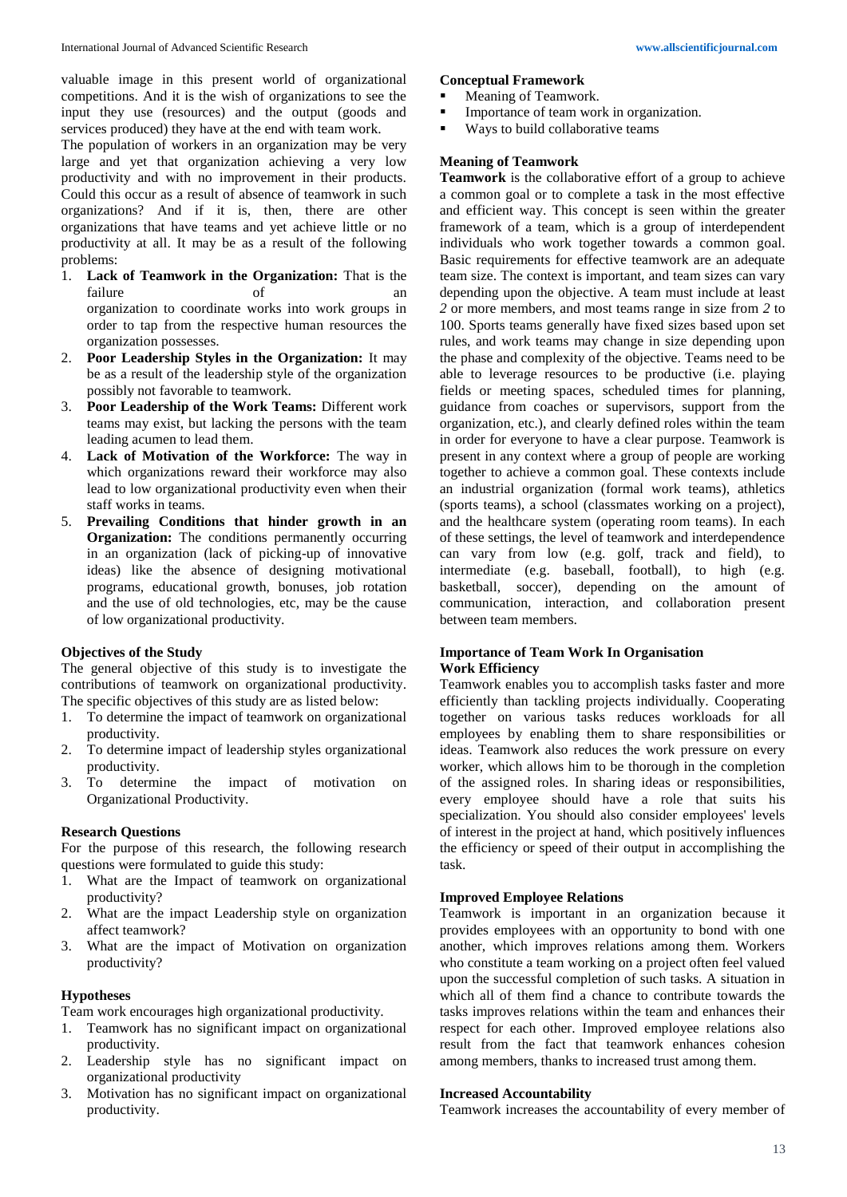valuable image in this present world of organizational competitions. And it is the wish of organizations to see the input they use (resources) and the output (goods and services produced) they have at the end with team work.

The population of workers in an organization may be very large and yet that organization achieving a very low productivity and with no improvement in their products. Could this occur as a result of absence of teamwork in such organizations? And if it is, then, there are other organizations that have teams and yet achieve little or no productivity at all. It may be as a result of the following problems:

- 1. **Lack of Teamwork in the Organization:** That is the failure of an organization to coordinate works into work groups in order to tap from the respective human resources the organization possesses.
- 2. **Poor Leadership Styles in the Organization:** It may be as a result of the leadership style of the organization possibly not favorable to teamwork.
- 3. **Poor Leadership of the Work Teams:** Different work teams may exist, but lacking the persons with the team leading acumen to lead them.
- 4. **Lack of Motivation of the Workforce:** The way in which organizations reward their workforce may also lead to low organizational productivity even when their staff works in teams.
- 5. **Prevailing Conditions that hinder growth in an Organization:** The conditions permanently occurring in an organization (lack of picking-up of innovative ideas) like the absence of designing motivational programs, educational growth, bonuses, job rotation and the use of old technologies, etc, may be the cause of low organizational productivity.

### **Objectives of the Study**

The general objective of this study is to investigate the contributions of teamwork on organizational productivity. The specific objectives of this study are as listed below:

- 1. To determine the impact of teamwork on organizational productivity.
- 2. To determine impact of leadership styles organizational productivity.
- 3. To determine the impact of motivation on Organizational Productivity.

### **Research Questions**

For the purpose of this research, the following research questions were formulated to guide this study:

- 1. What are the Impact of teamwork on organizational productivity?
- 2. What are the impact Leadership style on organization affect teamwork?
- 3. What are the impact of Motivation on organization productivity?

### **Hypotheses**

Team work encourages high organizational productivity.

- 1. Teamwork has no significant impact on organizational productivity.
- 2. Leadership style has no significant impact on organizational productivity
- 3. Motivation has no significant impact on organizational productivity.

### **Conceptual Framework**

- Meaning of Teamwork.
- Importance of team work in organization.
- Ways to build collaborative teams

### **Meaning of Teamwork**

**Teamwork** is the collaborative effort of a group to achieve a common goal or to complete a task in the most effective and efficient way. This concept is seen within the greater framework of a team, which is a group of interdependent individuals who work together towards a common goal. Basic requirements for effective teamwork are an adequate team size. The context is important, and team sizes can vary depending upon the objective. A team must include at least *2* or more members, and most teams range in size from *2* to 100. Sports teams generally have fixed sizes based upon set rules, and work teams may change in size depending upon the phase and complexity of the objective. Teams need to be able to leverage resources to be productive (i.e. playing fields or meeting spaces, scheduled times for planning, guidance from coaches or supervisors, support from the organization, etc.), and clearly defined roles within the team in order for everyone to have a clear purpose. Teamwork is present in any context where a group of people are working together to achieve a common goal. These contexts include an industrial organization (formal work teams), athletics (sports teams), a school (classmates working on a project), and the healthcare system (operating room teams). In each of these settings, the level of teamwork and interdependence can vary from low (e.g. golf, track and field), to intermediate (e.g. baseball, football), to high (e.g. basketball, soccer), depending on the amount of communication, interaction, and collaboration present between team members.

### **Importance of Team Work In Organisation Work Efficiency**

Teamwork enables you to accomplish tasks faster and more efficiently than tackling projects individually. Cooperating together on various tasks reduces workloads for all employees by enabling them to share responsibilities or ideas. Teamwork also reduces the work pressure on every worker, which allows him to be thorough in the completion of the assigned roles. In sharing ideas or responsibilities, every employee should have a role that suits his specialization. You should also consider employees' levels of interest in the project at hand, which positively influences the efficiency or speed of their output in accomplishing the task.

## **Improved Employee Relations**

Teamwork is important in an organization because it provides employees with an opportunity to bond with one another, which improves relations among them. Workers who constitute a team working on a project often feel valued upon the successful completion of such tasks. A situation in which all of them find a chance to contribute towards the tasks improves relations within the team and enhances their respect for each other. Improved employee relations also result from the fact that teamwork enhances cohesion among members, thanks to increased trust among them.

### **Increased Accountability**

Teamwork increases the accountability of every member of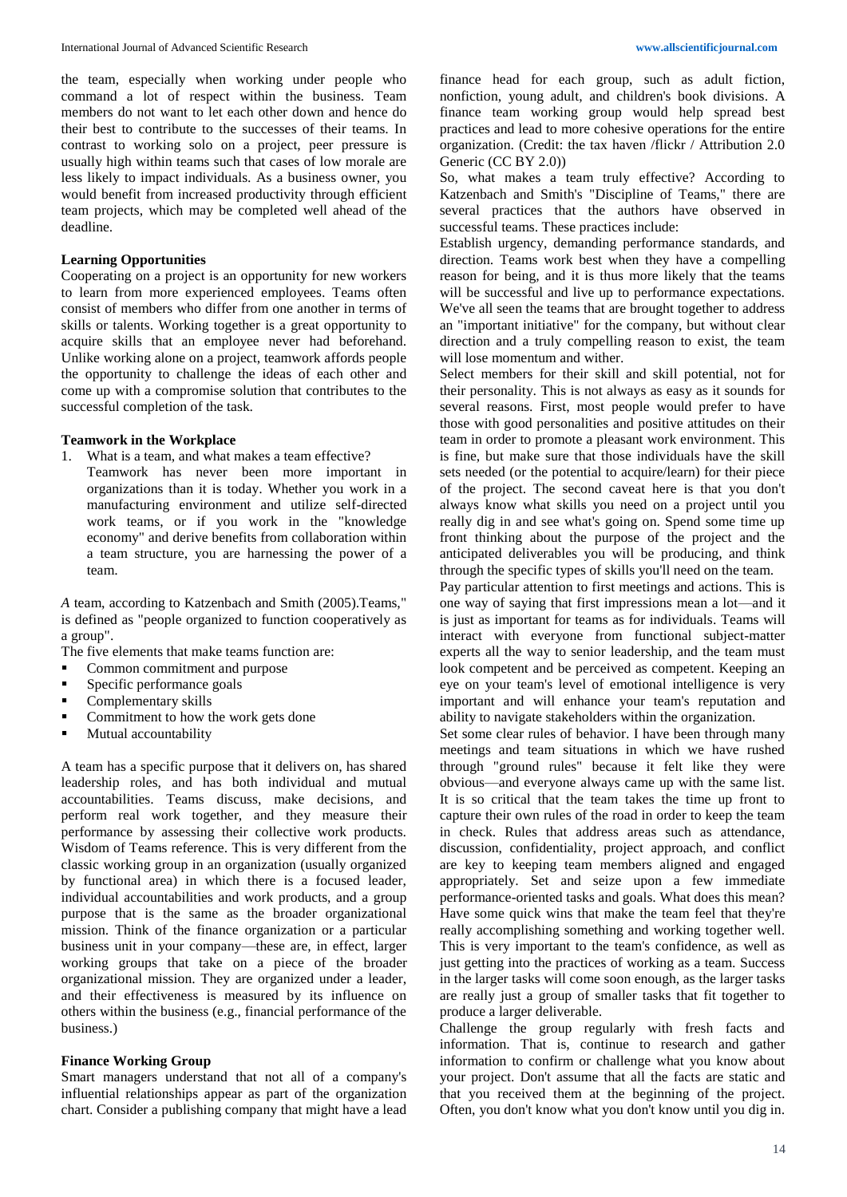the team, especially when working under people who command a lot of respect within the business. Team members do not want to let each other down and hence do their best to contribute to the successes of their teams. In contrast to working solo on a project, peer pressure is usually high within teams such that cases of low morale are less likely to impact individuals. As a business owner, you would benefit from increased productivity through efficient team projects, which may be completed well ahead of the deadline.

### **Learning Opportunities**

Cooperating on a project is an opportunity for new workers to learn from more experienced employees. Teams often consist of members who differ from one another in terms of skills or talents. Working together is a great opportunity to acquire skills that an employee never had beforehand. Unlike working alone on a project, teamwork affords people the opportunity to challenge the ideas of each other and come up with a compromise solution that contributes to the successful completion of the task.

#### **Teamwork in the Workplace**

- 1. What is a team, and what makes a team effective?
- Teamwork has never been more important in organizations than it is today. Whether you work in a manufacturing environment and utilize self-directed work teams, or if you work in the "knowledge economy" and derive benefits from collaboration within a team structure, you are harnessing the power of a team.

*A* team, according to Katzenbach and Smith (2005).Teams," is defined as "people organized to function cooperatively as a group".

- The five elements that make teams function are:
- Common commitment and purpose
- Specific performance goals
- Complementary skills
- Commitment to how the work gets done
- Mutual accountability

A team has a specific purpose that it delivers on, has shared leadership roles, and has both individual and mutual accountabilities. Teams discuss, make decisions, and perform real work together, and they measure their performance by assessing their collective work products. Wisdom of Teams reference. This is very different from the classic working group in an organization (usually organized by functional area) in which there is a focused leader, individual accountabilities and work products, and a group purpose that is the same as the broader organizational mission. Think of the finance organization or a particular business unit in your company—these are, in effect, larger working groups that take on a piece of the broader organizational mission. They are organized under a leader, and their effectiveness is measured by its influence on others within the business (e.g., financial performance of the business.)

#### **Finance Working Group**

Smart managers understand that not all of a company's influential relationships appear as part of the organization chart. Consider a publishing company that might have a lead

finance head for each group, such as adult fiction, nonfiction, young adult, and children's book divisions. A finance team working group would help spread best practices and lead to more cohesive operations for the entire organization. (Credit: the tax haven /flickr / Attribution 2.0 Generic (CC BY 2.0))

So, what makes a team truly effective? According to Katzenbach and Smith's "Discipline of Teams," there are several practices that the authors have observed in successful teams. These practices include:

Establish urgency, demanding performance standards, and direction. Teams work best when they have a compelling reason for being, and it is thus more likely that the teams will be successful and live up to performance expectations. We've all seen the teams that are brought together to address an "important initiative" for the company, but without clear direction and a truly compelling reason to exist, the team will lose momentum and wither.

Select members for their skill and skill potential, not for their personality. This is not always as easy as it sounds for several reasons. First, most people would prefer to have those with good personalities and positive attitudes on their team in order to promote a pleasant work environment. This is fine, but make sure that those individuals have the skill sets needed (or the potential to acquire/learn) for their piece of the project. The second caveat here is that you don't always know what skills you need on a project until you really dig in and see what's going on. Spend some time up front thinking about the purpose of the project and the anticipated deliverables you will be producing, and think through the specific types of skills you'll need on the team.

Pay particular attention to first meetings and actions. This is one way of saying that first impressions mean a lot—and it is just as important for teams as for individuals. Teams will interact with everyone from functional subject-matter experts all the way to senior leadership, and the team must look competent and be perceived as competent. Keeping an eye on your team's level of emotional intelligence is very important and will enhance your team's reputation and ability to navigate stakeholders within the organization.

Set some clear rules of behavior. I have been through many meetings and team situations in which we have rushed through "ground rules" because it felt like they were obvious—and everyone always came up with the same list. It is so critical that the team takes the time up front to capture their own rules of the road in order to keep the team in check. Rules that address areas such as attendance, discussion, confidentiality, project approach, and conflict are key to keeping team members aligned and engaged appropriately. Set and seize upon a few immediate performance-oriented tasks and goals. What does this mean? Have some quick wins that make the team feel that they're really accomplishing something and working together well. This is very important to the team's confidence, as well as just getting into the practices of working as a team. Success in the larger tasks will come soon enough, as the larger tasks are really just a group of smaller tasks that fit together to produce a larger deliverable.

Challenge the group regularly with fresh facts and information. That is, continue to research and gather information to confirm or challenge what you know about your project. Don't assume that all the facts are static and that you received them at the beginning of the project. Often, you don't know what you don't know until you dig in.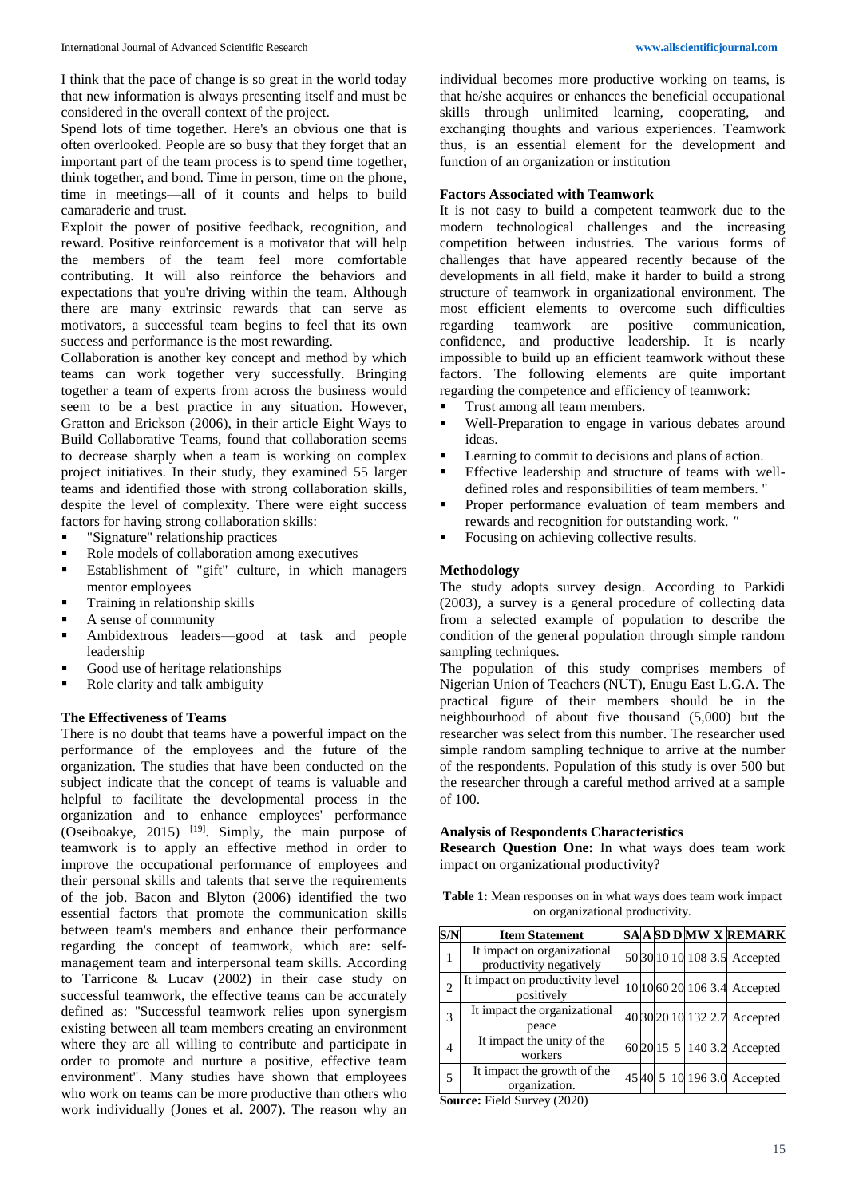I think that the pace of change is so great in the world today that new information is always presenting itself and must be considered in the overall context of the project.

Spend lots of time together. Here's an obvious one that is often overlooked. People are so busy that they forget that an important part of the team process is to spend time together, think together, and bond. Time in person, time on the phone, time in meetings—all of it counts and helps to build camaraderie and trust.

Exploit the power of positive feedback, recognition, and reward. Positive reinforcement is a motivator that will help the members of the team feel more comfortable contributing. It will also reinforce the behaviors and expectations that you're driving within the team. Although there are many extrinsic rewards that can serve as motivators, a successful team begins to feel that its own success and performance is the most rewarding.

Collaboration is another key concept and method by which teams can work together very successfully. Bringing together a team of experts from across the business would seem to be a best practice in any situation. However, Gratton and Erickson (2006), in their article Eight Ways to Build Collaborative Teams, found that collaboration seems to decrease sharply when a team is working on complex project initiatives. In their study, they examined 55 larger teams and identified those with strong collaboration skills, despite the level of complexity. There were eight success factors for having strong collaboration skills:

- "Signature" relationship practices
- Role models of collaboration among executives<br> $B = \frac{F_{\text{c}}}{F_{\text{c}} + F_{\text{c}} + F_{\text{c}} + F_{\text{c}} + F_{\text{c}} + F_{\text{c}} + F_{\text{c}} + F_{\text{c}} + F_{\text{c}} + F_{\text{c}} + F_{\text{c}} + F_{\text{c}} + F_{\text{c}} + F_{\text{c}} + F_{\text{c}}$
- Establishment of "gift" culture, in which managers mentor employees
- **Training in relationship skills**
- A sense of community
- Ambidextrous leaders—good at task and people leadership
- Good use of heritage relationships
- Role clarity and talk ambiguity

#### **The Effectiveness of Teams**

There is no doubt that teams have a powerful impact on the performance of the employees and the future of the organization. The studies that have been conducted on the subject indicate that the concept of teams is valuable and helpful to facilitate the developmental process in the organization and to enhance employees' performance (Oseiboakye, 2015)  $[19]$ . Simply, the main purpose of teamwork is to apply an effective method in order to improve the occupational performance of employees and their personal skills and talents that serve the requirements of the job. Bacon and Blyton (2006) identified the two essential factors that promote the communication skills between team's members and enhance their performance regarding the concept of teamwork, which are: selfmanagement team and interpersonal team skills. According to Tarricone & Lucav (2002) in their case study on successful teamwork, the effective teams can be accurately defined as: ''Successful teamwork relies upon synergism existing between all team members creating an environment where they are all willing to contribute and participate in order to promote and nurture a positive, effective team environment". Many studies have shown that employees who work on teams can be more productive than others who work individually (Jones et al. 2007). The reason why an

individual becomes more productive working on teams, is that he/she acquires or enhances the beneficial occupational skills through unlimited learning, cooperating, and exchanging thoughts and various experiences. Teamwork thus, is an essential element for the development and function of an organization or institution

### **Factors Associated with Teamwork**

It is not easy to build a competent teamwork due to the modern technological challenges and the increasing competition between industries. The various forms of challenges that have appeared recently because of the developments in all field, make it harder to build a strong structure of teamwork in organizational environment. The most efficient elements to overcome such difficulties<br>regarding teamwork are positive communication. regarding teamwork are positive communication, confidence, and productive leadership. It is nearly impossible to build up an efficient teamwork without these factors. The following elements are quite important regarding the competence and efficiency of teamwork:

- Trust among all team members.
- Well-Preparation to engage in various debates around ideas.
- Learning to commit to decisions and plans of action.
- Effective leadership and structure of teams with welldefined roles and responsibilities of team members. "
- Proper performance evaluation of team members and rewards and recognition for outstanding work. *"*
- Focusing on achieving collective results.

#### **Methodology**

The study adopts survey design. According to Parkidi (2003), a survey is a general procedure of collecting data from a selected example of population to describe the condition of the general population through simple random sampling techniques.

The population of this study comprises members of Nigerian Union of Teachers (NUT), Enugu East L.G.A. The practical figure of their members should be in the neighbourhood of about five thousand (5,000) but the researcher was select from this number. The researcher used simple random sampling technique to arrive at the number of the respondents. Population of this study is over 500 but the researcher through a careful method arrived at a sample of 100.

### **Analysis of Respondents Characteristics**

**Research Question One:** In what ways does team work impact on organizational productivity?

**Table 1:** Mean responses on in what ways does team work impact on organizational productivity.

| S/N          | <b>Item Statement</b>                                  |  |  |  | SA A SD D MW X REMARK          |
|--------------|--------------------------------------------------------|--|--|--|--------------------------------|
| $\mathbf{1}$ | It impact on organizational<br>productivity negatively |  |  |  | 50 30 10 10 108 3.5 Accepted   |
| 2            | It impact on productivity level<br>positively          |  |  |  | 10 10 60 20 106 3.4 Accepted   |
| 3            | It impact the organizational<br>peace                  |  |  |  | $40 30 20 10 132 2.7$ Accepted |
| 4            | It impact the unity of the<br>workers                  |  |  |  | 60 20 15 5 140 3.2 Accepted    |
| 5            | It impact the growth of the<br>organization.           |  |  |  | 45 40 5 10 196 3.0 Accepted    |

**Source:** Field Survey (2020)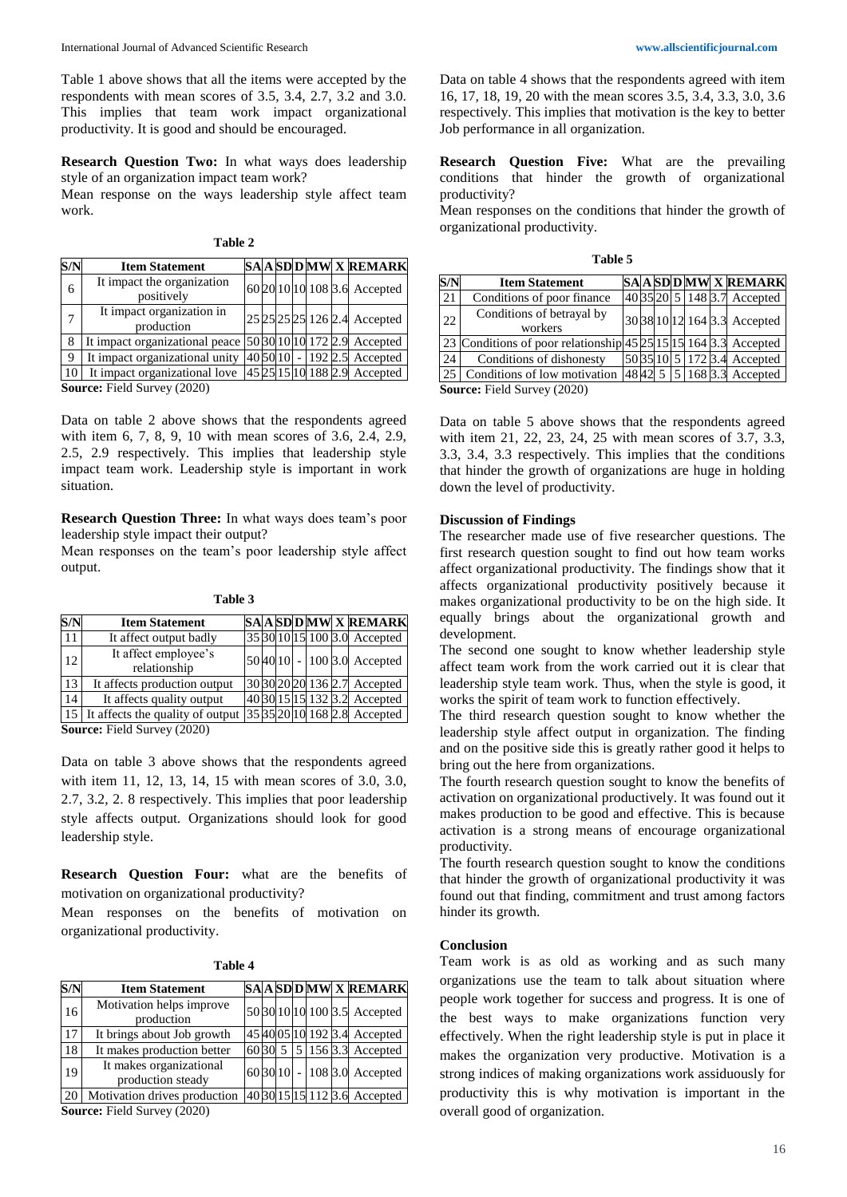Table 1 above shows that all the items were accepted by the respondents with mean scores of 3.5, 3.4, 2.7, 3.2 and 3.0. This implies that team work impact organizational productivity. It is good and should be encouraged.

**Research Question Two:** In what ways does leadership style of an organization impact team work?

Mean response on the ways leadership style affect team work.

| .,<br>v<br>×<br>۰.<br>.,<br>۰, |  |
|--------------------------------|--|
|--------------------------------|--|

| S/N | <b>Item Statement</b>                                                |  |  |  | SA A SD D MW X REMARK        |
|-----|----------------------------------------------------------------------|--|--|--|------------------------------|
| 6   | It impact the organization<br>positively                             |  |  |  | 60 20 10 10 108 3.6 Accepted |
|     | It impact organization in<br>production                              |  |  |  | 25 25 25 25 126 2.4 Accepted |
| 8   | It impact organizational peace $ 50 30 10 10 172 2.9$ Accepted       |  |  |  |                              |
| 9   | It impact organizational unity $\boxed{40,50,10}$ - 192 2.5 Accepted |  |  |  |                              |
| 10  | It impact organizational love                                        |  |  |  | 45 25 15 10 188 2.9 Accepted |
|     | <b>Source: Field Survey (2020)</b>                                   |  |  |  |                              |

Data on table 2 above shows that the respondents agreed with item 6, 7, 8, 9, 10 with mean scores of 3.6, 2.4, 2.9, 2.5, 2.9 respectively. This implies that leadership style impact team work. Leadership style is important in work situation.

**Research Question Three:** In what ways does team's poor leadership style impact their output?

Mean responses on the team's poor leadership style affect output.

| anıe |  |
|------|--|
|------|--|

| S/N | <b>Item Statement</b>                                            |  |  |  | SA A SD D MW X REMARK          |
|-----|------------------------------------------------------------------|--|--|--|--------------------------------|
| 11  | It affect output badly                                           |  |  |  | 35 30 10 15 100 3.0 Accepted   |
| 12  | It affect employee's<br>relationship                             |  |  |  | $50 40 10  - 100 3.0$ Accepted |
| 13  | It affects production output                                     |  |  |  | 30 30 20 20 136 2.7 Accepted   |
| 14  | It affects quality output                                        |  |  |  | 40 30 15 15 132 3.2 Accepted   |
|     | 15 It affects the quality of output 35 35 20 10 168 2.8 Accepted |  |  |  |                                |

**Source:** Field Survey (2020)

Data on table 3 above shows that the respondents agreed with item 11, 12, 13, 14, 15 with mean scores of 3.0, 3.0, 2.7, 3.2, 2. 8 respectively. This implies that poor leadership style affects output. Organizations should look for good leadership style.

**Research Question Four:** what are the benefits of motivation on organizational productivity?

Mean responses on the benefits of motivation on organizational productivity.

| ۱<br>Ш<br>æ |  |
|-------------|--|
|-------------|--|

| S/N | <b>Item Statement</b>                        |  |          |  | SA A SD D MW X REMARK             |
|-----|----------------------------------------------|--|----------|--|-----------------------------------|
| 16  | Motivation helps improve<br>production       |  |          |  | 50 30 10 10 100 3.5 Accepted      |
| 17  | It brings about Job growth                   |  |          |  | 45400510 192 3.4 Accepted         |
| 18  | It makes production better                   |  |          |  | $ 60 30$ 5   5   156 3.3 Accepted |
| 19  | It makes organizational<br>production steady |  | 60 30 10 |  | $-1083.0$ Accepted                |
| 20  | Motivation drives production                 |  |          |  | 40 30 15 15 112 3.6 Accepted      |

**Source:** Field Survey (2020)

Data on table 4 shows that the respondents agreed with item 16, 17, 18, 19, 20 with the mean scores 3.5, 3.4, 3.3, 3.0, 3.6 respectively. This implies that motivation is the key to better Job performance in all organization.

**Research Question Five:** What are the prevailing conditions that hinder the growth of organizational productivity?

Mean responses on the conditions that hinder the growth of organizational productivity.

| .<br>v<br>×<br>.,<br>۰.<br>$\sim$ |  |
|-----------------------------------|--|
|-----------------------------------|--|

| S/N | <b>Item Statement</b>                                           |  |  |  | SAASDDMWX REMARK              |
|-----|-----------------------------------------------------------------|--|--|--|-------------------------------|
|     |                                                                 |  |  |  |                               |
| 21  | Conditions of poor finance                                      |  |  |  | $40 35 20 5 148 3.7$ Accepted |
| 22  | Conditions of betrayal by<br>workers                            |  |  |  | 30 38 10 12 164 3.3 Accepted  |
|     | 23 Conditions of poor relationship 45 25 15 15 164 3.3 Accepted |  |  |  |                               |
| 24  | Conditions of dishonesty                                        |  |  |  | 50 35 10 5 172 3.4 Accepted   |
| 25  | Conditions of low motivation                                    |  |  |  | $ 48 42 5 5 168 3.3$ Accepted |
|     | <b>Source:</b> Field Survey (2020)                              |  |  |  |                               |

**Source:** Field Surv

Data on table 5 above shows that the respondents agreed with item 21, 22, 23, 24, 25 with mean scores of 3.7, 3.3, 3.3, 3.4, 3.3 respectively. This implies that the conditions that hinder the growth of organizations are huge in holding down the level of productivity.

#### **Discussion of Findings**

The researcher made use of five researcher questions. The first research question sought to find out how team works affect organizational productivity. The findings show that it affects organizational productivity positively because it makes organizational productivity to be on the high side. It equally brings about the organizational growth and development.

The second one sought to know whether leadership style affect team work from the work carried out it is clear that leadership style team work. Thus, when the style is good, it works the spirit of team work to function effectively.

The third research question sought to know whether the leadership style affect output in organization. The finding and on the positive side this is greatly rather good it helps to bring out the here from organizations.

The fourth research question sought to know the benefits of activation on organizational productively. It was found out it makes production to be good and effective. This is because activation is a strong means of encourage organizational productivity.

The fourth research question sought to know the conditions that hinder the growth of organizational productivity it was found out that finding, commitment and trust among factors hinder its growth.

#### **Conclusion**

Team work is as old as working and as such many organizations use the team to talk about situation where people work together for success and progress. It is one of the best ways to make organizations function very effectively. When the right leadership style is put in place it makes the organization very productive. Motivation is a strong indices of making organizations work assiduously for productivity this is why motivation is important in the overall good of organization.